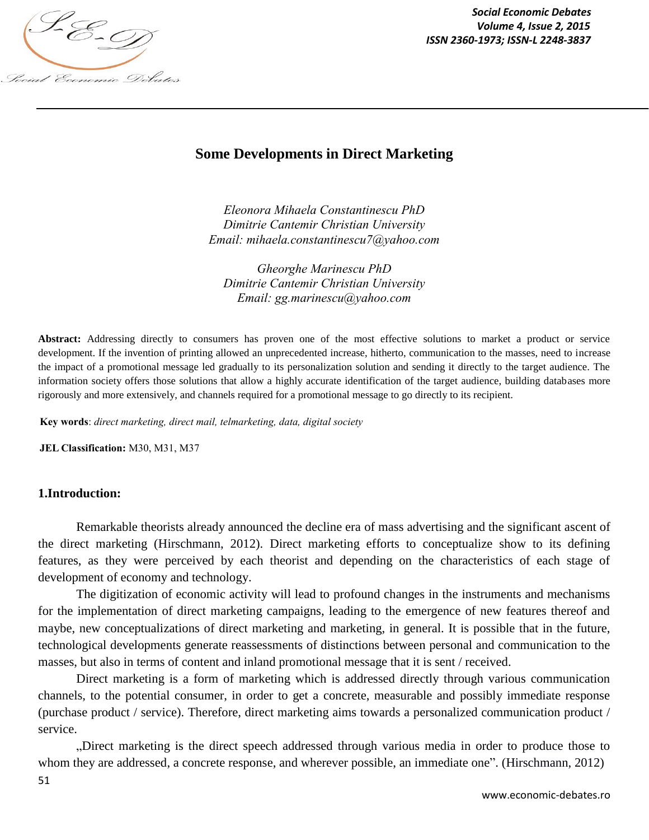

*Social Economic Debates ISSN 2360-1973; ISSN-L 2248-3837*

# **Some Developments in Direct Marketing**

*Eleonora Mihaela Constantinescu PhD Dimitrie Cantemir Christian University Email: mihaela.constantinescu7@yahoo.com*

*Gheorghe Marinescu PhD Dimitrie Cantemir Christian University Email: gg.marinescu@yahoo.com*

**Abstract:** Addressing directly to consumers has proven one of the most effective solutions to market a product or service development. If the invention of printing allowed an unprecedented increase, hitherto, communication to the masses, need to increase the impact of a promotional message led gradually to its personalization solution and sending it directly to the target audience. The information society offers those solutions that allow a highly accurate identification of the target audience, building databases more rigorously and more extensively, and channels required for a promotional message to go directly to its recipient.

**Key words**: *direct marketing, direct mail, telmarketing, data, digital society*

**JEL Classification:** M30, M31, M37

#### **1.Introduction:**

Remarkable theorists already announced the decline era of mass advertising and the significant ascent of the direct marketing (Hirschmann, 2012). Direct marketing efforts to conceptualize show to its defining features, as they were perceived by each theorist and depending on the characteristics of each stage of development of economy and technology.

The digitization of economic activity will lead to profound changes in the instruments and mechanisms for the implementation of direct marketing campaigns, leading to the emergence of new features thereof and maybe, new conceptualizations of direct marketing and marketing, in general. It is possible that in the future, technological developments generate reassessments of distinctions between personal and communication to the masses, but also in terms of content and inland promotional message that it is sent / received.

Direct marketing is a form of marketing which is addressed directly through various communication channels, to the potential consumer, in order to get a concrete, measurable and possibly immediate response (purchase product / service). Therefore, direct marketing aims towards a personalized communication product / service.

"Direct marketing is the direct speech addressed through various media in order to produce those to whom they are addressed, a concrete response, and wherever possible, an immediate one". (Hirschmann, 2012)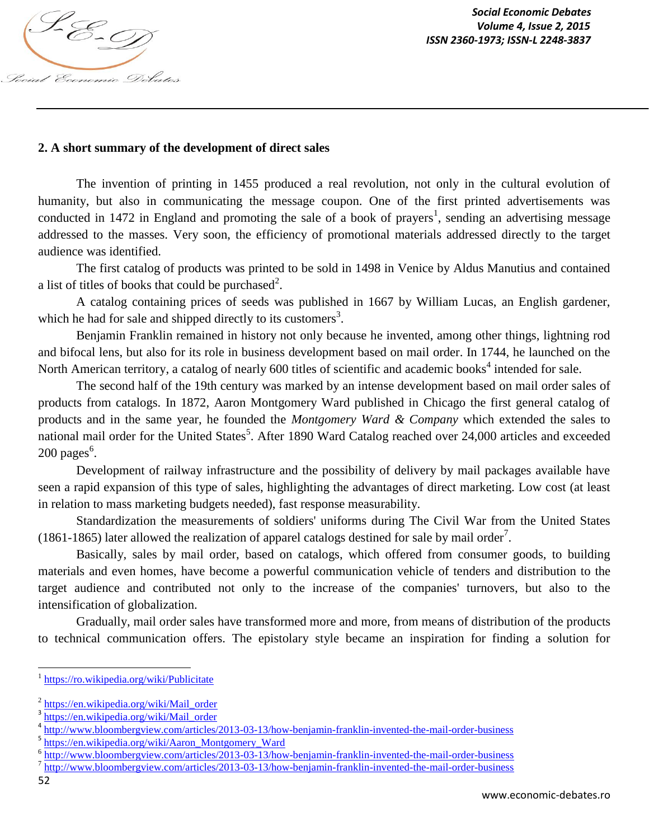

### **2. A short summary of the development of direct sales**

The invention of printing in 1455 produced a real revolution, not only in the cultural evolution of humanity, but also in communicating the message coupon. One of the first printed advertisements was conducted in 1472 in England and promoting the sale of a book of prayers<sup>1</sup>, sending an advertising message addressed to the masses. Very soon, the efficiency of promotional materials addressed directly to the target audience was identified.

The first catalog of products was printed to be sold in 1498 in Venice by Aldus Manutius and contained a list of titles of books that could be purchased<sup>2</sup>.

A catalog containing prices of seeds was published in 1667 by William Lucas, an English gardener, which he had for sale and shipped directly to its customers<sup>3</sup>.

Benjamin Franklin remained in history not only because he invented, among other things, lightning rod and bifocal lens, but also for its role in business development based on mail order. In 1744, he launched on the North American territory, a catalog of nearly 600 titles of scientific and academic books<sup>4</sup> intended for sale.

The second half of the 19th century was marked by an intense development based on mail order sales of products from catalogs. In 1872, Aaron Montgomery Ward published in Chicago the first general catalog of products and in the same year, he founded the *Montgomery Ward & Company* which extended the sales to national mail order for the United States<sup>5</sup>. After 1890 Ward Catalog reached over 24,000 articles and exceeded  $200 \text{ pages}^6$ .

Development of railway infrastructure and the possibility of delivery by mail packages available have seen a rapid expansion of this type of sales, highlighting the advantages of direct marketing. Low cost (at least in relation to mass marketing budgets needed), fast response measurability.

Standardization the measurements of soldiers' uniforms during The Civil War from the United States (1861-1865) later allowed the realization of apparel catalogs destined for sale by mail order<sup>7</sup>.

Basically, sales by mail order, based on catalogs, which offered from consumer goods, to building materials and even homes, have become a powerful communication vehicle of tenders and distribution to the target audience and contributed not only to the increase of the companies' turnovers, but also to the intensification of globalization.

Gradually, mail order sales have transformed more and more, from means of distribution of the products to technical communication offers. The epistolary style became an inspiration for finding a solution for

 $\overline{\phantom{a}}$ 

<sup>1</sup> https://ro.wikipedia.org/wiki/Publicitate

<sup>&</sup>lt;sup>2</sup> https://en.wikipedia.org/wiki/Mail\_order

<sup>&</sup>lt;sup>3</sup> https://en.wikipedia.org/wiki/Mail\_order

<sup>&</sup>lt;sup>4</sup> http://www.bloombergview.com/articles/2013-03-13/how-benjamin-franklin-invented-the-mail-order-business

<sup>&</sup>lt;sup>5</sup> https://en.wikipedia.org/wiki/Aaron\_Montgomery\_Ward

<sup>&</sup>lt;sup>6</sup> http://www.bloombergview.com/articles/2013-03-13/how-benjamin-franklin-invented-the-mail-order-business

<sup>&</sup>lt;sup>7</sup> http://www.bloombergview.com/articles/2013-03-13/how-benjamin-franklin-invented-the-mail-order-business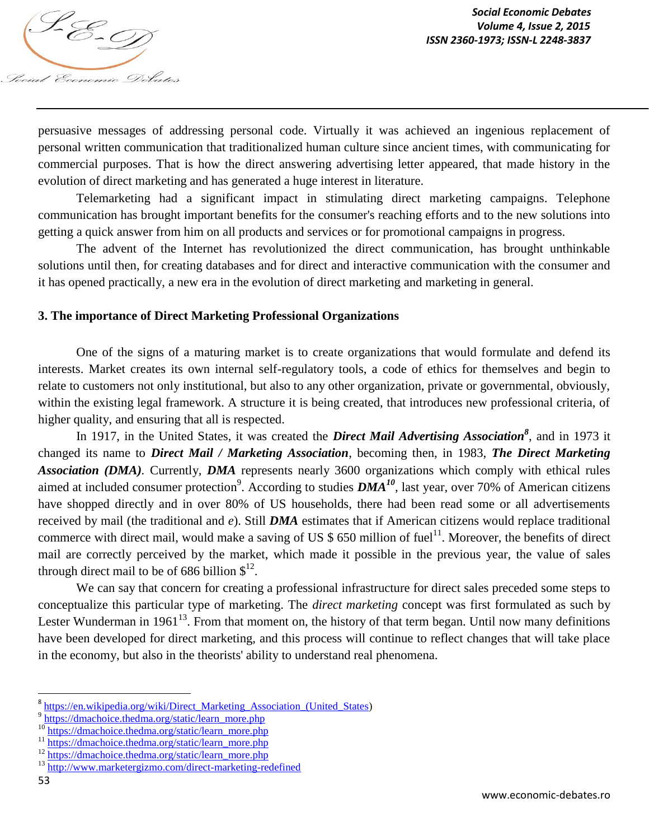

persuasive messages of addressing personal code. Virtually it was achieved an ingenious replacement of personal written communication that traditionalized human culture since ancient times, with communicating for commercial purposes. That is how the direct answering advertising letter appeared, that made history in the evolution of direct marketing and has generated a huge interest in literature.

Telemarketing had a significant impact in stimulating direct marketing campaigns. Telephone communication has brought important benefits for the consumer's reaching efforts and to the new solutions into getting a quick answer from him on all products and services or for promotional campaigns in progress.

The advent of the Internet has revolutionized the direct communication, has brought unthinkable solutions until then, for creating databases and for direct and interactive communication with the consumer and it has opened practically, a new era in the evolution of direct marketing and marketing in general.

#### **3. The importance of Direct Marketing Professional Organizations**

One of the signs of a maturing market is to create organizations that would formulate and defend its interests. Market creates its own internal self-regulatory tools, a code of ethics for themselves and begin to relate to customers not only institutional, but also to any other organization, private or governmental, obviously, within the existing legal framework. A structure it is being created, that introduces new professional criteria, of higher quality, and ensuring that all is respected.

In 1917, in the United States, it was created the *Direct Mail Advertising Association<sup>8</sup>* , and in 1973 it changed its name to *Direct Mail / Marketing Association*, becoming then, in 1983, *The Direct Marketing Association (DMA).* Currently, *DMA* represents nearly 3600 organizations which comply with ethical rules aimed at included consumer protection<sup>9</sup>. According to studies  $DMA^{10}$ , last year, over 70% of American citizens have shopped directly and in over 80% of US households, there had been read some or all advertisements received by mail (the traditional and *e*). Still *DMA* estimates that if American citizens would replace traditional commerce with direct mail, would make a saving of US  $$650$  million of fuel<sup>11</sup>. Moreover, the benefits of direct mail are correctly perceived by the market, which made it possible in the previous year, the value of sales through direct mail to be of 686 billion  $\mathcal{S}^{12}$ .

We can say that concern for creating a professional infrastructure for direct sales preceded some steps to conceptualize this particular type of marketing. The *direct marketing* concept was first formulated as such by Lester Wunderman in  $1961^{13}$ . From that moment on, the history of that term began. Until now many definitions have been developed for direct marketing, and this process will continue to reflect changes that will take place in the economy, but also in the theorists' ability to understand real phenomena.

 $\overline{\phantom{a}}$ 

<sup>&</sup>lt;sup>8</sup> https://en.wikipedia.org/wiki/Direct\_Marketing\_Association\_(United\_States)

<sup>&</sup>lt;sup>9</sup> https://dmachoice.thedma.org/static/learn\_more.php

<sup>&</sup>lt;sup>10</sup> https://dmachoice.thedma.org/static/learn\_more.php

<sup>&</sup>lt;sup>11</sup> https://dmachoice.thedma.org/static/learn\_more.php

<sup>&</sup>lt;sup>12</sup> https://dmachoice.thedma.org/static/learn\_more.php

<sup>13</sup> http://www.marketergizmo.com/direct-marketing-redefined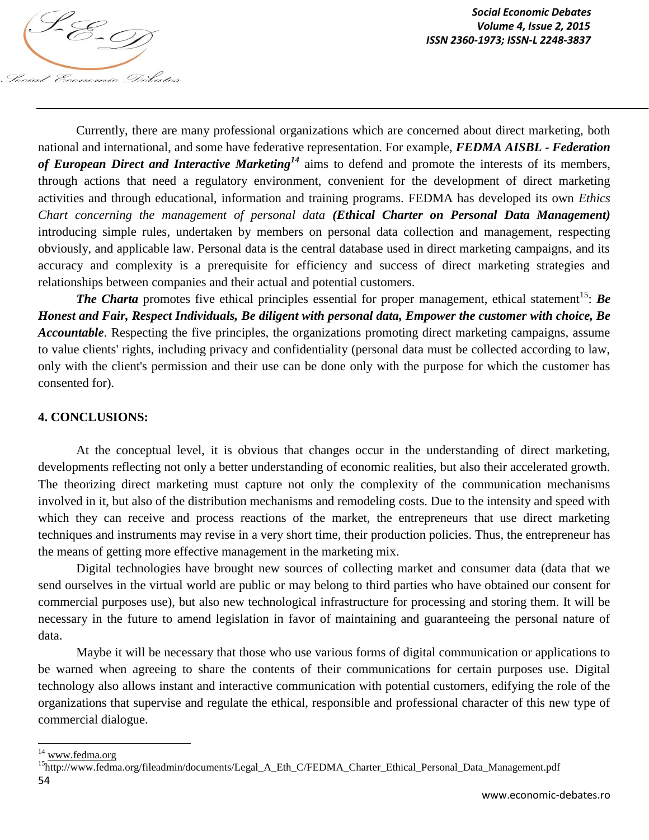

Currently, there are many professional organizations which are concerned about direct marketing, both national and international, and some have federative representation. For example, *FEDMA AISBL - Federation of European Direct and Interactive Marketing<sup>14</sup>* aims to defend and promote the interests of its members, through actions that need a regulatory environment, convenient for the development of direct marketing activities and through educational, information and training programs. FEDMA has developed its own *Ethics Chart concerning the management of personal data (Ethical Charter on Personal Data Management)* introducing simple rules, undertaken by members on personal data collection and management, respecting obviously, and applicable law. Personal data is the central database used in direct marketing campaigns, and its accuracy and complexity is a prerequisite for efficiency and success of direct marketing strategies and relationships between companies and their actual and potential customers.

*The Charta* promotes five ethical principles essential for proper management, ethical statement<sup>15</sup>: *Be Honest and Fair, Respect Individuals, Be diligent with personal data, Empower the customer with choice, Be Accountable*. Respecting the five principles, the organizations promoting direct marketing campaigns, assume to value clients' rights, including privacy and confidentiality (personal data must be collected according to law, only with the client's permission and their use can be done only with the purpose for which the customer has consented for).

## **4. CONCLUSIONS:**

At the conceptual level, it is obvious that changes occur in the understanding of direct marketing, developments reflecting not only a better understanding of economic realities, but also their accelerated growth. The theorizing direct marketing must capture not only the complexity of the communication mechanisms involved in it, but also of the distribution mechanisms and remodeling costs. Due to the intensity and speed with which they can receive and process reactions of the market, the entrepreneurs that use direct marketing techniques and instruments may revise in a very short time, their production policies. Thus, the entrepreneur has the means of getting more effective management in the marketing mix.

Digital technologies have brought new sources of collecting market and consumer data (data that we send ourselves in the virtual world are public or may belong to third parties who have obtained our consent for commercial purposes use), but also new technological infrastructure for processing and storing them. It will be necessary in the future to amend legislation in favor of maintaining and guaranteeing the personal nature of data.

Maybe it will be necessary that those who use various forms of digital communication or applications to be warned when agreeing to share the contents of their communications for certain purposes use. Digital technology also allows instant and interactive communication with potential customers, edifying the role of the organizations that supervise and regulate the ethical, responsible and professional character of this new type of commercial dialogue.

 $\overline{\phantom{a}}$ 

<sup>&</sup>lt;sup>14</sup> www.fedma.org

<sup>54</sup> <sup>15</sup>http://www.fedma.org/fileadmin/documents/Legal\_A\_Eth\_C/FEDMA\_Charter\_Ethical\_Personal\_Data\_Management.pdf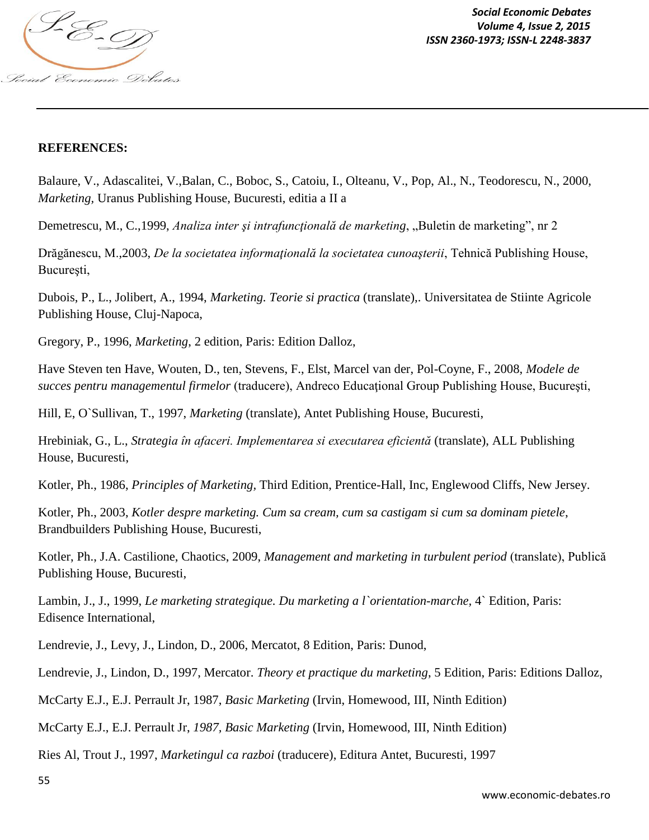

*Social Economic Debates ISSN 2360-1973; ISSN-L 2248-3837*

### **REFERENCES:**

Balaure, V., Adascalitei, V.,Balan, C., Boboc, S., Catoiu, I., Olteanu, V., Pop, Al., N., Teodorescu, N., 2000, *Marketing,* Uranus Publishing House, Bucuresti, editia a II a

Demetrescu, M., C., 1999, *Analiza inter și intrafuncțională de marketing*, "Buletin de marketing", nr 2

Drăgănescu, M.,2003, *De la societatea informațională la societatea cunoașterii*, Tehnică Publishing House, București,

Dubois, P., L., Jolibert, A., 1994, *Marketing. Teorie si practica* (translate),. Universitatea de Stiinte Agricole Publishing House, Cluj-Napoca,

Gregory, P., 1996, *Marketing*, 2 edition, Paris: Edition Dalloz,

Have Steven ten Have, Wouten, D., ten, Stevens, F., Elst, Marcel van der, Pol-Coyne, F., 2008, *Modele de succes pentru managementul firmelor* (traducere), Andreco Educational Group Publishing House, București,

Hill, E, O`Sullivan, T., 1997, *Marketing* (translate), Antet Publishing House, Bucuresti,

Hrebiniak, G., L., *Strategia în afaceri. Implementarea si executarea eficientă* (translate), ALL Publishing House, Bucuresti,

Kotler, Ph., 1986, *Principles of Marketing,* Third Edition, Prentice-Hall, Inc, Englewood Cliffs, New Jersey.

Kotler, Ph., 2003, *Kotler despre marketing. Cum sa cream, cum sa castigam si cum sa dominam pietele*, Brandbuilders Publishing House, Bucuresti,

Kotler, Ph., J.A. Castilione, Chaotics, 2009, *Management and marketing in turbulent period* (translate), Publică Publishing House, Bucuresti,

Lambin, J., J., 1999, *Le marketing strategique. Du marketing a l`orientation-marche,* 4` Edition, Paris: Edisence International,

Lendrevie, J., Levy, J., Lindon, D., 2006, Mercatot, 8 Edition, Paris: Dunod,

Lendrevie, J., Lindon, D., 1997, Mercator. *Theory et practique du marketing*, 5 Edition, Paris: Editions Dalloz,

McCarty E.J., E.J. Perrault Jr, 1987, *Basic Marketing* (Irvin, Homewood, III, Ninth Edition)

McCarty E.J., E.J. Perrault Jr, *1987, Basic Marketing* (Irvin, Homewood, III, Ninth Edition)

Ries Al, Trout J., 1997, *Marketingul ca razboi* (traducere), Editura Antet, Bucuresti, 1997